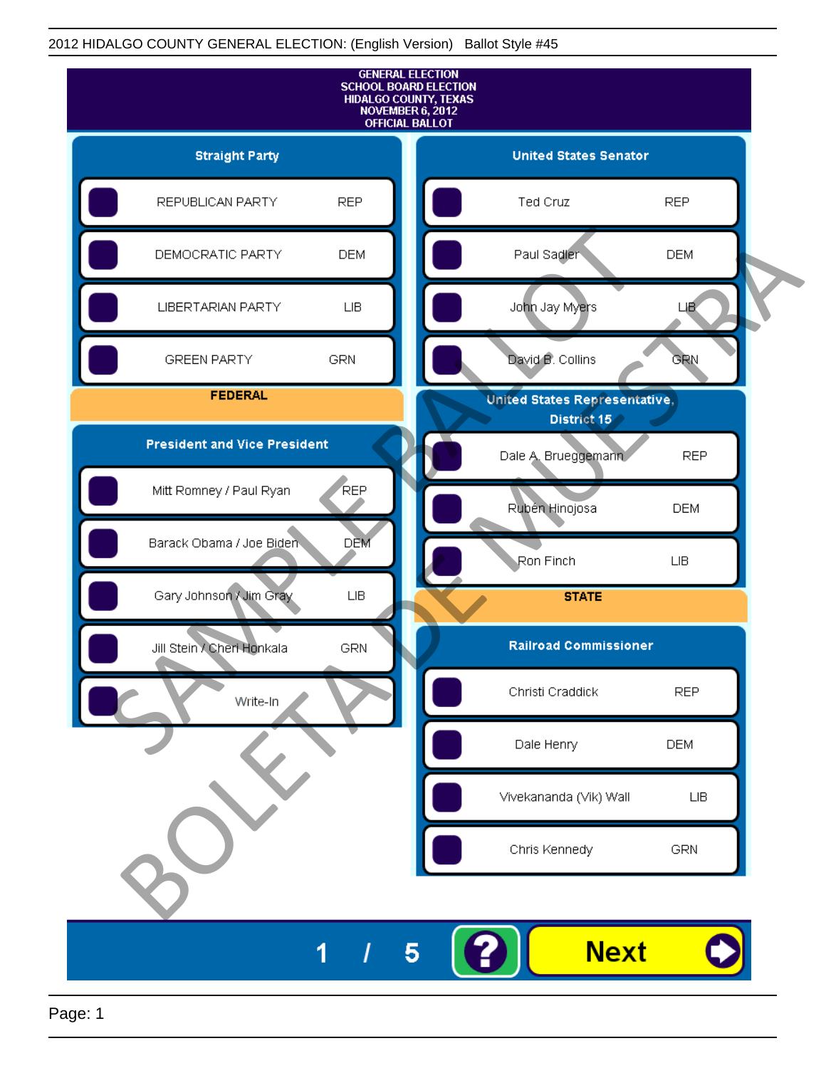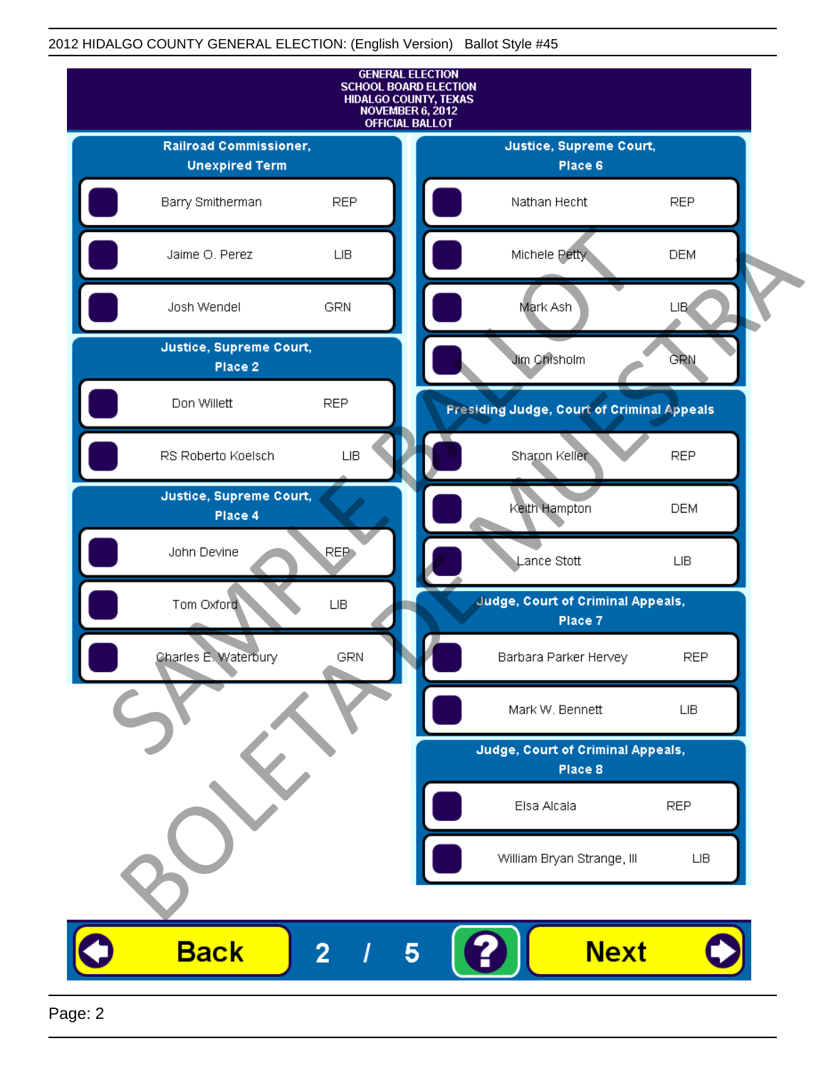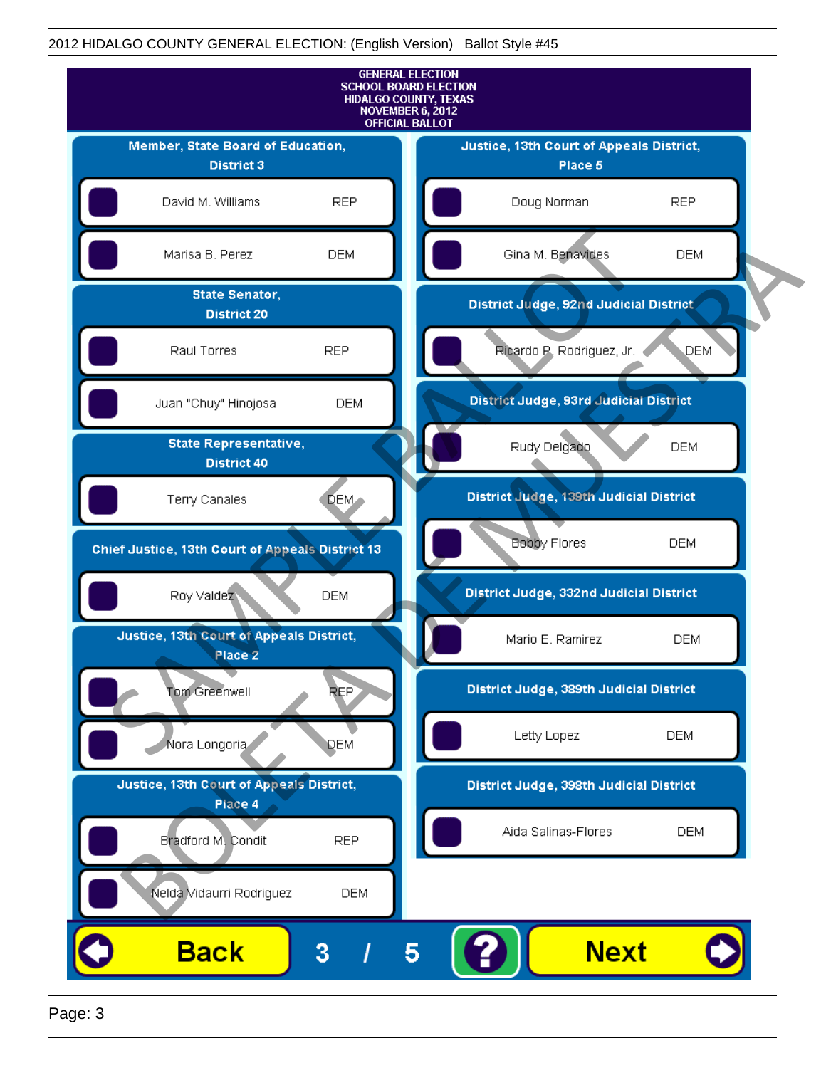

Page: 3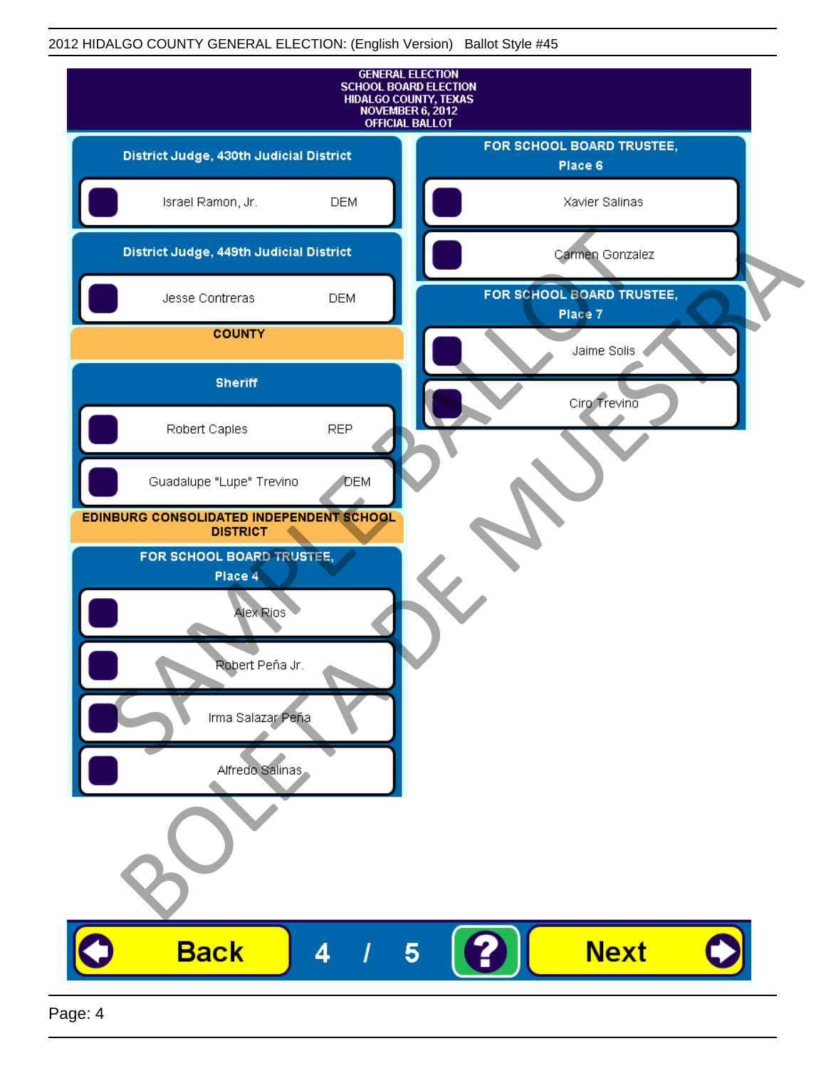| <b>GENERAL ELECTION</b><br><b>SCHOOL BOARD ELECTION</b><br>HIDALGO COUNTY, TEXAS<br>NOVEMBER 6, 2012<br><b>OFFICIAL BALLOT</b> |              |                                      |
|--------------------------------------------------------------------------------------------------------------------------------|--------------|--------------------------------------|
| District Judge, 430th Judicial District                                                                                        |              | FOR SCHOOL BOARD TRUSTEE,<br>Place 6 |
| Israel Ramon, Jr.                                                                                                              | <b>DEM</b>   | Xavier Salinas                       |
| District Judge, 449th Judicial District                                                                                        |              | Carmen Gonzalez                      |
| Jesse Contreras                                                                                                                | <b>DEM</b>   | FOR SCHOOL BOARD TRUSTEE,<br>Place 7 |
| <b>COUNTY</b>                                                                                                                  |              | Jaime Solis                          |
| <b>Sheriff</b>                                                                                                                 |              | Ciro Trevino                         |
| Robert Caples                                                                                                                  | <b>REP</b>   |                                      |
| Guadalupe "Lupe" Trevino                                                                                                       | <b>J</b> DEM |                                      |
| EDINBURG CONSOLIDATED INDEPENDENT SCHOOL<br><b>DISTRICT</b>                                                                    |              |                                      |
| FOR SCHOOL BOARD TRUSTEE,<br>Place 4                                                                                           |              |                                      |
| Alex Rios                                                                                                                      |              |                                      |
| <b>Robert</b> Peña Jr.                                                                                                         |              |                                      |
| Irma Salazar Peña                                                                                                              |              |                                      |
| Alfredo Salinas                                                                                                                |              |                                      |
|                                                                                                                                |              |                                      |
|                                                                                                                                |              |                                      |
| <b>Back</b>                                                                                                                    | 4            | <b>Next</b><br>5                     |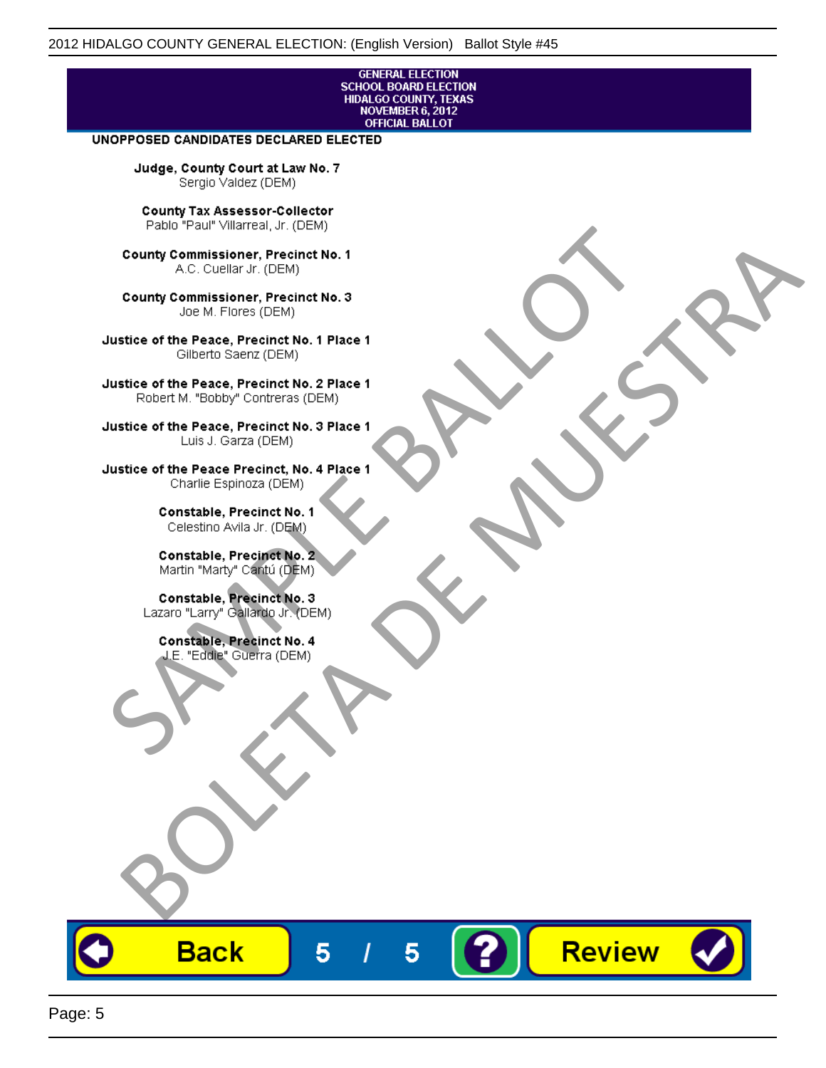# **GENERAL ELECTION** SCHOOL BOARD ELECTION<br>HIDALGO COUNTY, TEXAS<br>NOVEMBER 6, 2012<br>OFFICIAL BALLOT

Review

#### UNOPPOSED CANDIDATES DECLARED ELECTED

Judge, County Court at Law No. 7 Sergio Valdez (DEM)

County Tax Assessor-Collector

Frame The Passe, Precinct No. 1<br>
County Commissioner, Precinct No. 1<br>
SC. Cutellar Jr. (DEM)<br>
County Commissioner, Precinct No. 2<br>
Ulastice of the Peace, Precinct No. 2<br>
Ulastice of the Peace, Precinct No. 2<br>
Robert M. "Bl County Commissioner, Precinat No. 1<br>
A County Commissioner, Precinat No. 3<br>
Use of the Peace, Precinat No. 3<br>
Use of the Peace, Precinat No. 1<br>
There is a precinc No. 2<br>
There is a precinc No. 2<br>
There is a precinc No. 2<br>

**Back** 

5

5

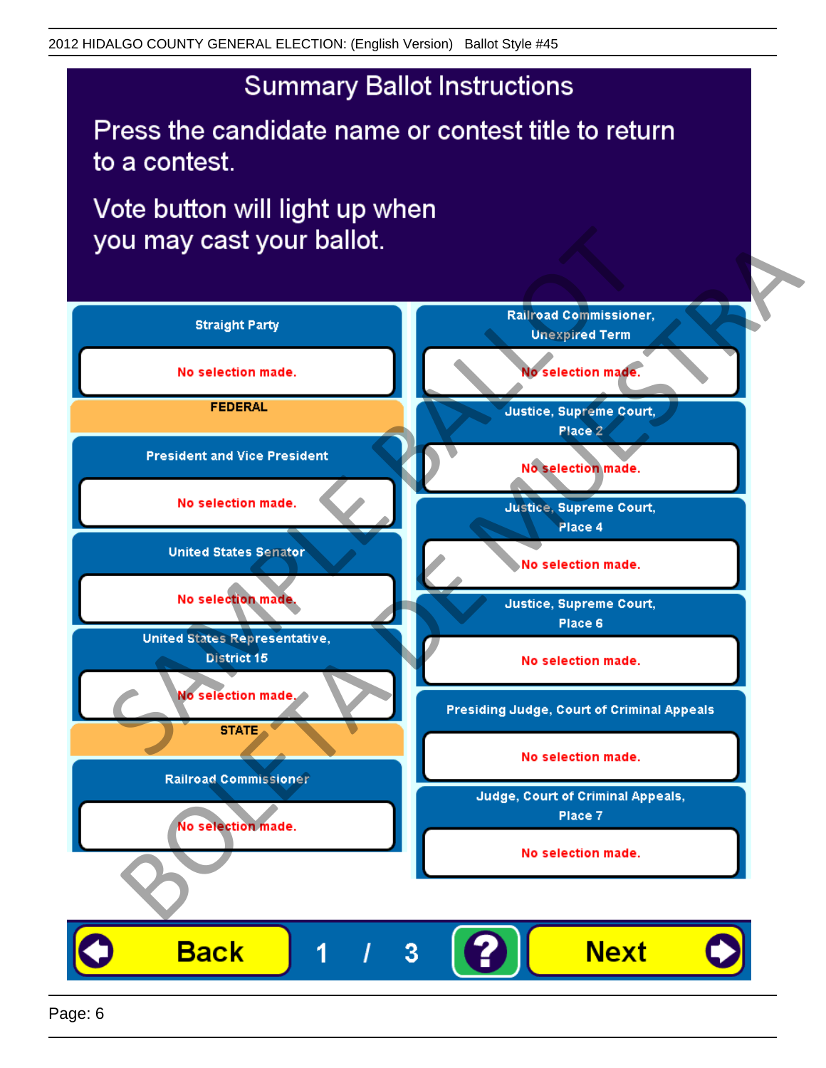## **Summary Ballot Instructions**

Press the candidate name or contest title to return to a contest.

Vote button will light up when

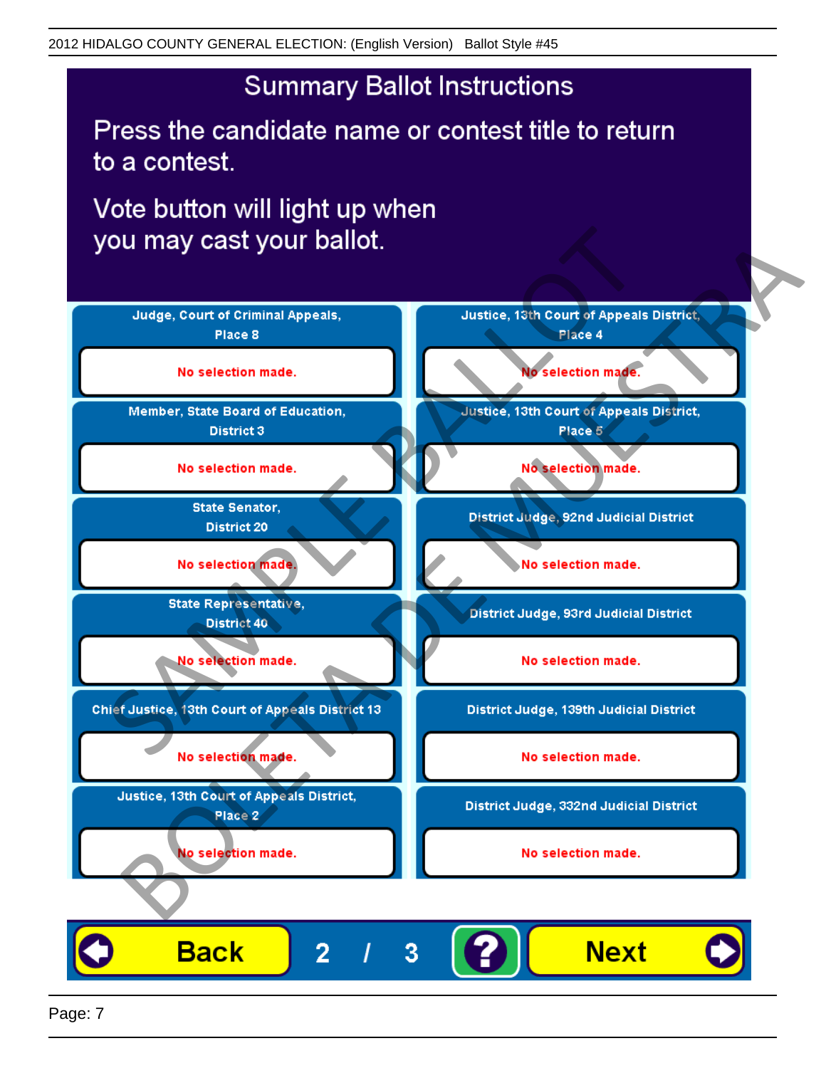## **Summary Ballot Instructions**

Press the candidate name or contest title to return to a contest.

Vote button will light up when